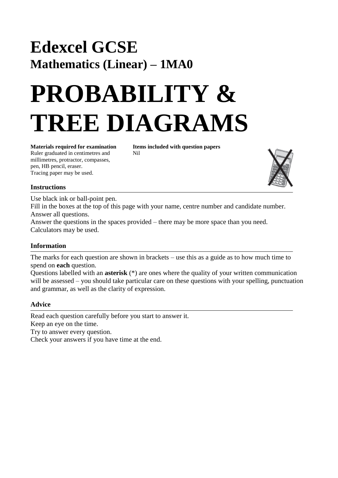## **Edexcel GCSE Mathematics (Linear) – 1MA0**

# **PROBABILITY & TREE DIAGRAMS**

**Materials required for examination Items included with question papers** Ruler graduated in centimetres and Nil millimetres, protractor, compasses, pen, HB pencil, eraser. Tracing paper may be used.



#### **Instructions**

Use black ink or ball-point pen. Fill in the boxes at the top of this page with your name, centre number and candidate number. Answer all questions. Answer the questions in the spaces provided – there may be more space than you need. Calculators may be used.

### **Information**

The marks for each question are shown in brackets – use this as a guide as to how much time to spend on **each** question.

Questions labelled with an **asterisk** (\*) are ones where the quality of your written communication will be assessed – you should take particular care on these questions with your spelling, punctuation and grammar, as well as the clarity of expression.

#### **Advice**

Read each question carefully before you start to answer it. Keep an eye on the time.

Try to answer every question.

Check your answers if you have time at the end.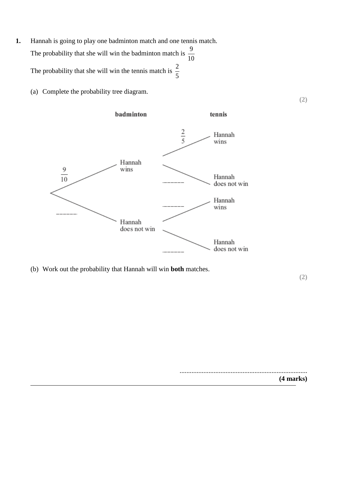- **1.** Hannah is going to play one badminton match and one tennis match. The probability that she will win the badminton match is 10 9 The probability that she will win the tennis match is 5 2
	- (a) Complete the probability tree diagram.



(b) Work out the probability that Hannah will win **both** matches.

**(2)**

........................................................................... **(4 marks)**

**(2)**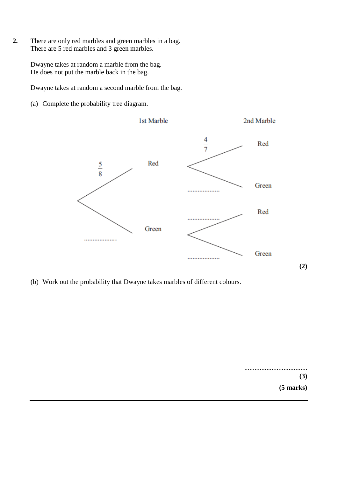**2.** There are only red marbles and green marbles in a bag. There are 5 red marbles and 3 green marbles.

> Dwayne takes at random a marble from the bag. He does not put the marble back in the bag.

Dwayne takes at random a second marble from the bag.

(a) Complete the probability tree diagram.



(b) Work out the probability that Dwayne takes marbles of different colours.

..................................... **(3) (5 marks)**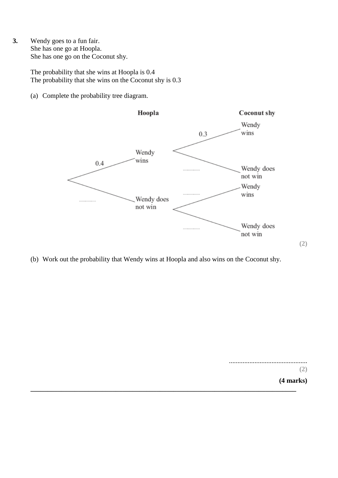**3.** Wendy goes to a fun fair. She has one go at Hoopla. She has one go on the Coconut shy.

> The probability that she wins at Hoopla is 0.4 The probability that she wins on the Coconut shy is 0.3

(a) Complete the probability tree diagram.



(b) Work out the probability that Wendy wins at Hoopla and also wins on the Coconut shy.

..............................................

**(2)**

**(2)**

**(4 marks) \_\_\_\_\_\_\_\_\_\_\_\_\_\_\_\_\_\_\_\_\_\_\_\_\_\_\_\_\_\_\_\_\_\_\_\_\_\_\_\_\_\_\_\_\_\_\_\_\_\_\_\_\_\_\_\_\_\_\_\_\_\_\_\_\_\_\_\_\_\_\_\_\_\_\_\_\_\_**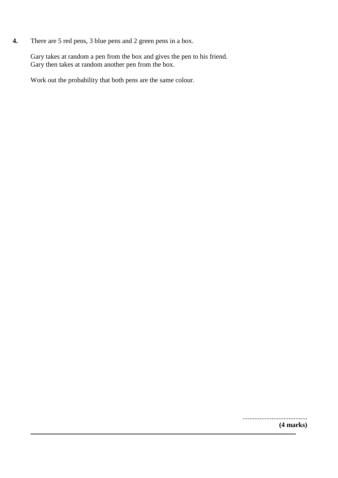**4.** There are 5 red pens, 3 blue pens and 2 green pens in a box.

Gary takes at random a pen from the box and gives the pen to his friend. Gary then takes at random another pen from the box.

Work out the probability that both pens are the same colour.

...................................... **(4 marks)**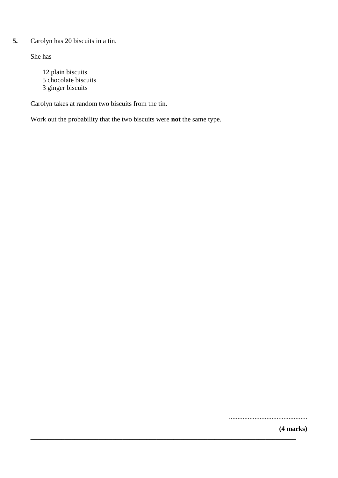#### **5.** Carolyn has 20 biscuits in a tin.

She has

12 plain biscuits 5 chocolate biscuits 3 ginger biscuits

Carolyn takes at random two biscuits from the tin.

Work out the probability that the two biscuits were **not** the same type.

**\_\_\_\_\_\_\_\_\_\_\_\_\_\_\_\_\_\_\_\_\_\_\_\_\_\_\_\_\_\_\_\_\_\_\_\_\_\_\_\_\_\_\_\_\_\_\_\_\_\_\_\_\_\_\_\_\_\_\_\_\_\_\_\_\_\_\_\_\_\_\_\_\_\_\_\_\_\_**

..............................................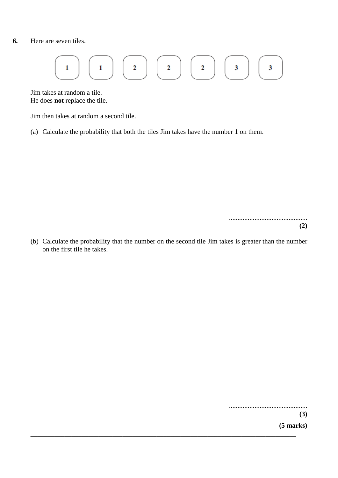#### **6.** Here are seven tiles.

$$
\begin{array}{|c|c|c|c|}\hline 1 & 1 & 1 \\ \hline \end{array}
$$

Jim takes at random a tile. He does **not** replace the tile.

Jim then takes at random a second tile.

(a) Calculate the probability that both the tiles Jim takes have the number 1 on them.

.............................................. **(2)**

(b) Calculate the probability that the number on the second tile Jim takes is greater than the number on the first tile he takes.

**\_\_\_\_\_\_\_\_\_\_\_\_\_\_\_\_\_\_\_\_\_\_\_\_\_\_\_\_\_\_\_\_\_\_\_\_\_\_\_\_\_\_\_\_\_\_\_\_\_\_\_\_\_\_\_\_\_\_\_\_\_\_\_\_\_\_\_\_\_\_\_\_\_\_\_\_\_\_**

..............................................

**(3)**

**(5 marks)**